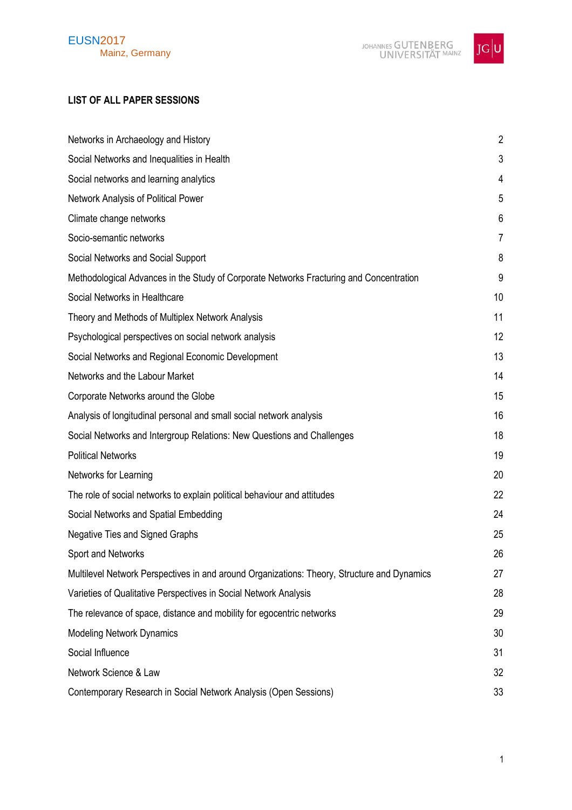

# **LIST OF ALL PAPER SESSIONS**

| Networks in Archaeology and History                                                         | $\overline{2}$ |
|---------------------------------------------------------------------------------------------|----------------|
| Social Networks and Inequalities in Health                                                  | 3              |
| Social networks and learning analytics                                                      | 4              |
| Network Analysis of Political Power                                                         | 5              |
| Climate change networks                                                                     | 6              |
| Socio-semantic networks                                                                     | 7              |
| Social Networks and Social Support                                                          | 8              |
| Methodological Advances in the Study of Corporate Networks Fracturing and Concentration     | 9              |
| Social Networks in Healthcare                                                               | 10             |
| Theory and Methods of Multiplex Network Analysis                                            | 11             |
| Psychological perspectives on social network analysis                                       | 12             |
| Social Networks and Regional Economic Development                                           | 13             |
| Networks and the Labour Market                                                              | 14             |
| Corporate Networks around the Globe                                                         | 15             |
| Analysis of longitudinal personal and small social network analysis                         | 16             |
| Social Networks and Intergroup Relations: New Questions and Challenges                      | 18             |
| <b>Political Networks</b>                                                                   | 19             |
| Networks for Learning                                                                       | 20             |
| The role of social networks to explain political behaviour and attitudes                    | 22             |
| Social Networks and Spatial Embedding                                                       | 24             |
| <b>Negative Ties and Signed Graphs</b>                                                      | 25             |
| Sport and Networks                                                                          | 26             |
| Multilevel Network Perspectives in and around Organizations: Theory, Structure and Dynamics | 27             |
| Varieties of Qualitative Perspectives in Social Network Analysis                            | 28             |
| The relevance of space, distance and mobility for egocentric networks                       | 29             |
| <b>Modeling Network Dynamics</b>                                                            | 30             |
| Social Influence                                                                            | 31             |
| Network Science & Law                                                                       | 32             |
| Contemporary Research in Social Network Analysis (Open Sessions)                            | 33             |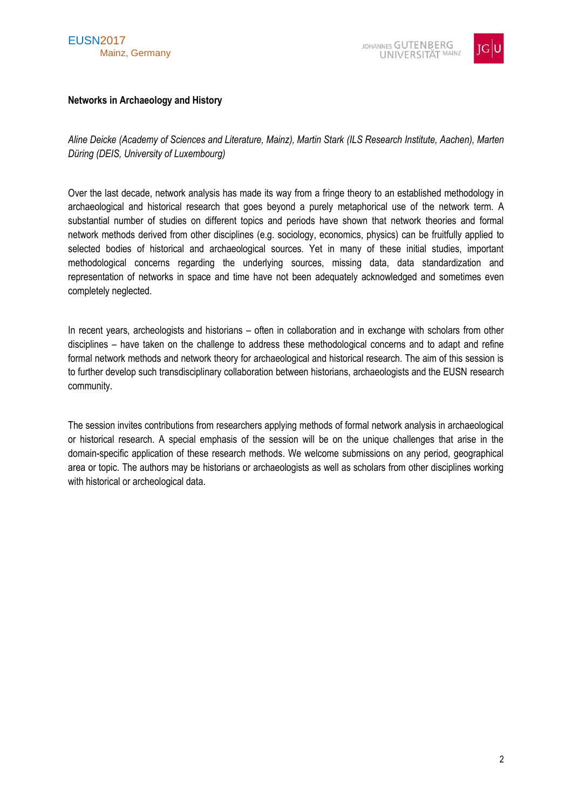



### <span id="page-1-0"></span>**Networks in Archaeology and History**

*Aline Deicke (Academy of Sciences and Literature, Mainz), Martin Stark (ILS Research Institute, Aachen), Marten Düring (DEIS, University of Luxembourg)*

Over the last decade, network analysis has made its way from a fringe theory to an established methodology in archaeological and historical research that goes beyond a purely metaphorical use of the network term. A substantial number of studies on different topics and periods have shown that network theories and formal network methods derived from other disciplines (e.g. sociology, economics, physics) can be fruitfully applied to selected bodies of historical and archaeological sources. Yet in many of these initial studies, important methodological concerns regarding the underlying sources, missing data, data standardization and representation of networks in space and time have not been adequately acknowledged and sometimes even completely neglected.

In recent years, archeologists and historians – often in collaboration and in exchange with scholars from other disciplines – have taken on the challenge to address these methodological concerns and to adapt and refine formal network methods and network theory for archaeological and historical research. The aim of this session is to further develop such transdisciplinary collaboration between historians, archaeologists and the EUSN research community.

The session invites contributions from researchers applying methods of formal network analysis in archaeological or historical research. A special emphasis of the session will be on the unique challenges that arise in the domain-specific application of these research methods. We welcome submissions on any period, geographical area or topic. The authors may be historians or archaeologists as well as scholars from other disciplines working with historical or archeological data.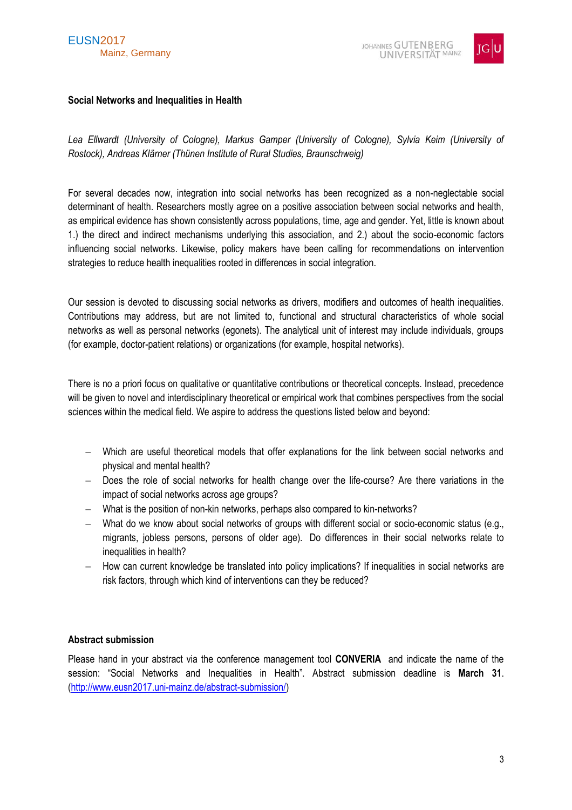

# <span id="page-2-0"></span>**Social Networks and Inequalities in Health**

Lea Ellwardt (University of Cologne), Markus Gamper (University of Cologne), Sylvia Keim (University of *Rostock), Andreas Klärner (Thünen Institute of Rural Studies, Braunschweig)*

For several decades now, integration into social networks has been recognized as a non-neglectable social determinant of health. Researchers mostly agree on a positive association between social networks and health, as empirical evidence has shown consistently across populations, time, age and gender. Yet, little is known about 1.) the direct and indirect mechanisms underlying this association, and 2.) about the socio-economic factors influencing social networks. Likewise, policy makers have been calling for recommendations on intervention strategies to reduce health inequalities rooted in differences in social integration.

Our session is devoted to discussing social networks as drivers, modifiers and outcomes of health inequalities. Contributions may address, but are not limited to, functional and structural characteristics of whole social networks as well as personal networks (egonets). The analytical unit of interest may include individuals, groups (for example, doctor-patient relations) or organizations (for example, hospital networks).

There is no a priori focus on qualitative or quantitative contributions or theoretical concepts. Instead, precedence will be given to novel and interdisciplinary theoretical or empirical work that combines perspectives from the social sciences within the medical field. We aspire to address the questions listed below and beyond:

- Which are useful theoretical models that offer explanations for the link between social networks and physical and mental health?
- Does the role of social networks for health change over the life-course? Are there variations in the impact of social networks across age groups?
- What is the position of non-kin networks, perhaps also compared to kin-networks?
- What do we know about social networks of groups with different social or socio-economic status (e.g., migrants, jobless persons, persons of older age). Do differences in their social networks relate to inequalities in health?
- $-$  How can current knowledge be translated into policy implications? If inequalities in social networks are risk factors, through which kind of interventions can they be reduced?

# **Abstract submission**

Please hand in your abstract via the conference management tool **CONVERIA** and indicate the name of the session: "Social Networks and Inequalities in Health". Abstract submission deadline is **March 31**. [\(http://www.eusn2017.uni-mainz.de/abstract-submission/\)](http://www.eusn2017.uni-mainz.de/abstract-submission/)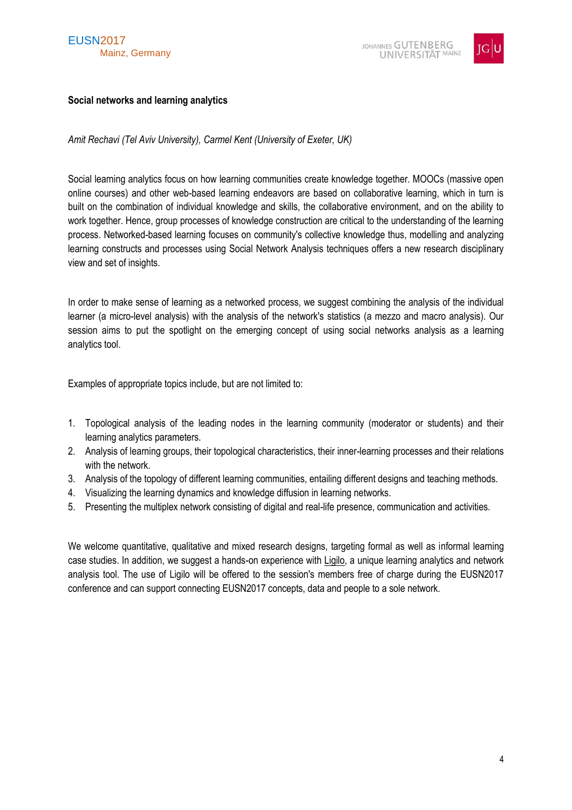

# <span id="page-3-0"></span>**Social networks and learning analytics**

*Amit Rechavi (Tel Aviv University), Carmel Kent (University of Exeter, UK)*

Social learning analytics focus on how learning communities create knowledge together. MOOCs (massive open online courses) and other web-based learning endeavors are based on collaborative learning, which in turn is built on the combination of individual knowledge and skills, the collaborative environment, and on the ability to work together. Hence, group processes of knowledge construction are critical to the understanding of the learning process. Networked-based learning focuses on community's collective knowledge thus, modelling and analyzing learning constructs and processes using Social Network Analysis techniques offers a new research disciplinary view and set of insights.

In order to make sense of learning as a networked process, we suggest combining the analysis of the individual learner (a micro-level analysis) with the analysis of the network's statistics (a mezzo and macro analysis). Our session aims to put the spotlight on the emerging concept of using social networks analysis as a learning analytics tool.

Examples of appropriate topics include, but are not limited to:

- 1. Topological analysis of the leading nodes in the learning community (moderator or students) and their learning analytics parameters.
- 2. Analysis of learning groups, their topological characteristics, their inner-learning processes and their relations with the network.
- 3. Analysis of the topology of different learning communities, entailing different designs and teaching methods.
- 4. Visualizing the learning dynamics and knowledge diffusion in learning networks.
- 5. Presenting the multiplex network consisting of digital and real-life presence, communication and activities.

We welcome quantitative, qualitative and mixed research designs, targeting formal as well as informal learning case studies. In addition, we suggest a hands-on experience with Ligilo, a unique learning analytics and network analysis tool. The use of Ligilo will be offered to the session's members free of charge during the EUSN2017 conference and can support connecting EUSN2017 concepts, data and people to a sole network.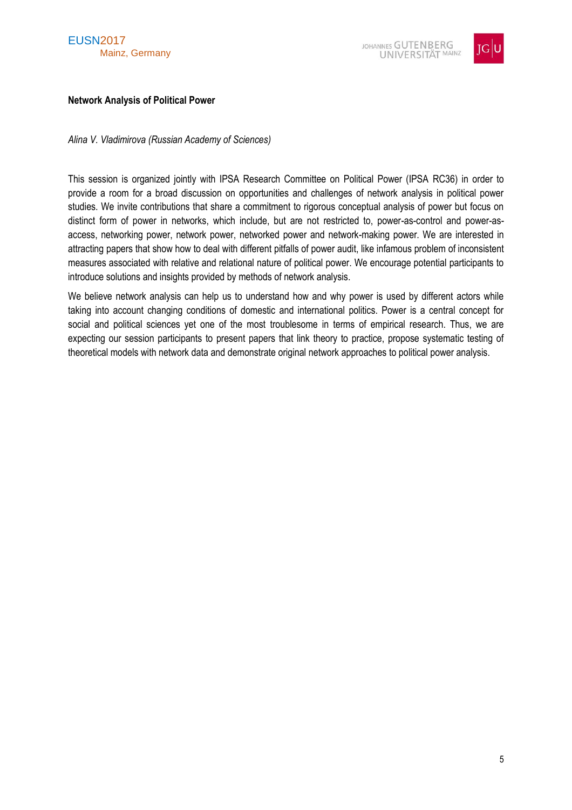



#### <span id="page-4-0"></span>**Network Analysis of Political Power**

*Alina V. Vladimirova (Russian Academy of Sciences)*

This session is organized jointly with IPSA Research Committee on Political Power (IPSA RC36) in order to provide a room for a broad discussion on opportunities and challenges of network analysis in political power studies. We invite contributions that share a commitment to rigorous conceptual analysis of power but focus on distinct form of power in networks, which include, but are not restricted to, power-as-control and power-asaccess, networking power, network power, networked power and network-making power. We are interested in attracting papers that show how to deal with different pitfalls of power audit, like infamous problem of inconsistent measures associated with relative and relational nature of political power. We encourage potential participants to introduce solutions and insights provided by methods of network analysis.

We believe network analysis can help us to understand how and why power is used by different actors while taking into account changing conditions of domestic and international politics. Power is a central concept for social and political sciences yet one of the most troublesome in terms of empirical research. Thus, we are expecting our session participants to present papers that link theory to practice, propose systematic testing of theoretical models with network data and demonstrate original network approaches to political power analysis.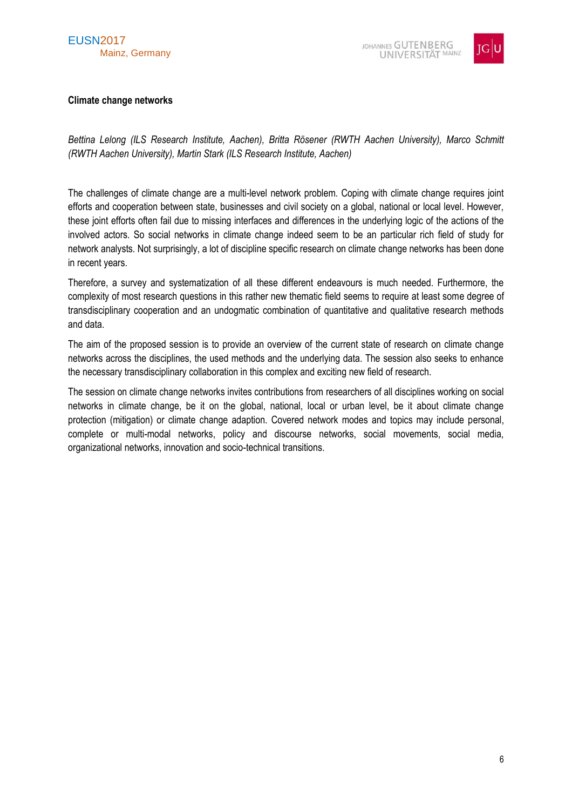

# <span id="page-5-0"></span>**Climate change networks**

*Bettina Lelong (ILS Research Institute, Aachen), Britta Rösener (RWTH Aachen University), Marco Schmitt (RWTH Aachen University), Martin Stark (ILS Research Institute, Aachen)*

The challenges of climate change are a multi-level network problem. Coping with climate change requires joint efforts and cooperation between state, businesses and civil society on a global, national or local level. However, these joint efforts often fail due to missing interfaces and differences in the underlying logic of the actions of the involved actors. So social networks in climate change indeed seem to be an particular rich field of study for network analysts. Not surprisingly, a lot of discipline specific research on climate change networks has been done in recent years.

Therefore, a survey and systematization of all these different endeavours is much needed. Furthermore, the complexity of most research questions in this rather new thematic field seems to require at least some degree of transdisciplinary cooperation and an undogmatic combination of quantitative and qualitative research methods and data.

The aim of the proposed session is to provide an overview of the current state of research on climate change networks across the disciplines, the used methods and the underlying data. The session also seeks to enhance the necessary transdisciplinary collaboration in this complex and exciting new field of research.

The session on climate change networks invites contributions from researchers of all disciplines working on social networks in climate change, be it on the global, national, local or urban level, be it about climate change protection (mitigation) or climate change adaption. Covered network modes and topics may include personal, complete or multi-modal networks, policy and discourse networks, social movements, social media, organizational networks, innovation and socio-technical transitions.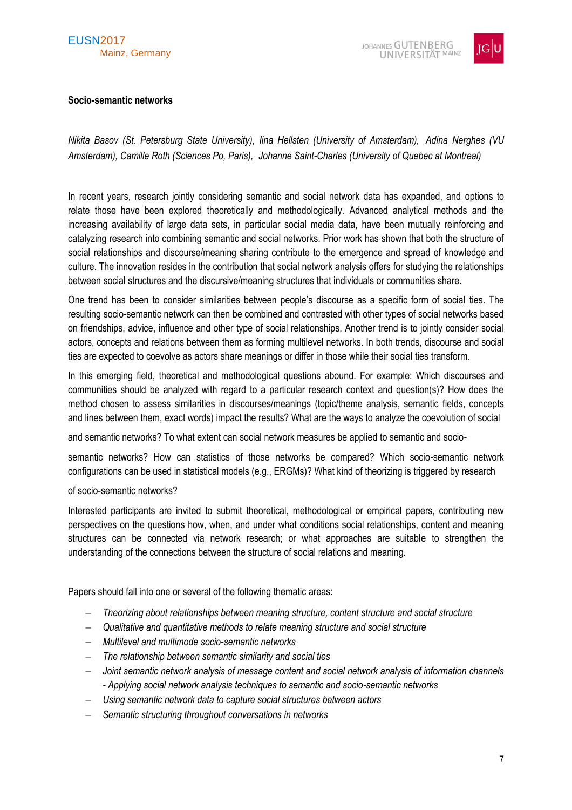# EUSN2017 Mainz, Germany



# <span id="page-6-0"></span>**Socio-semantic networks**

*Nikita Basov (St. Petersburg State University), Iina Hellsten (University of Amsterdam), Adina Nerghes (VU Amsterdam), Camille Roth (Sciences Po, Paris), Johanne Saint-Charles (University of Quebec at Montreal)*

In recent years, research jointly considering semantic and social network data has expanded, and options to relate those have been explored theoretically and methodologically. Advanced analytical methods and the increasing availability of large data sets, in particular social media data, have been mutually reinforcing and catalyzing research into combining semantic and social networks. Prior work has shown that both the structure of social relationships and discourse/meaning sharing contribute to the emergence and spread of knowledge and culture. The innovation resides in the contribution that social network analysis offers for studying the relationships between social structures and the discursive/meaning structures that individuals or communities share.

One trend has been to consider similarities between people's discourse as a specific form of social ties. The resulting socio-semantic network can then be combined and contrasted with other types of social networks based on friendships, advice, influence and other type of social relationships. Another trend is to jointly consider social actors, concepts and relations between them as forming multilevel networks. In both trends, discourse and social ties are expected to coevolve as actors share meanings or differ in those while their social ties transform.

In this emerging field, theoretical and methodological questions abound. For example: Which discourses and communities should be analyzed with regard to a particular research context and question(s)? How does the method chosen to assess similarities in discourses/meanings (topic/theme analysis, semantic fields, concepts and lines between them, exact words) impact the results? What are the ways to analyze the coevolution of social

and semantic networks? To what extent can social network measures be applied to semantic and socio-

semantic networks? How can statistics of those networks be compared? Which socio-semantic network configurations can be used in statistical models (e.g., ERGMs)? What kind of theorizing is triggered by research

#### of socio-semantic networks?

Interested participants are invited to submit theoretical, methodological or empirical papers, contributing new perspectives on the questions how, when, and under what conditions social relationships, content and meaning structures can be connected via network research; or what approaches are suitable to strengthen the understanding of the connections between the structure of social relations and meaning.

Papers should fall into one or several of the following thematic areas:

- *Theorizing about relationships between meaning structure, content structure and social structure*
- *Qualitative and quantitative methods to relate meaning structure and social structure*
- *Multilevel and multimode socio-semantic networks*
- *The relationship between semantic similarity and social ties*
- *Joint semantic network analysis of message content and social network analysis of information channels - Applying social network analysis techniques to semantic and socio-semantic networks*
- *Using semantic network data to capture social structures between actors*
- *Semantic structuring throughout conversations in networks*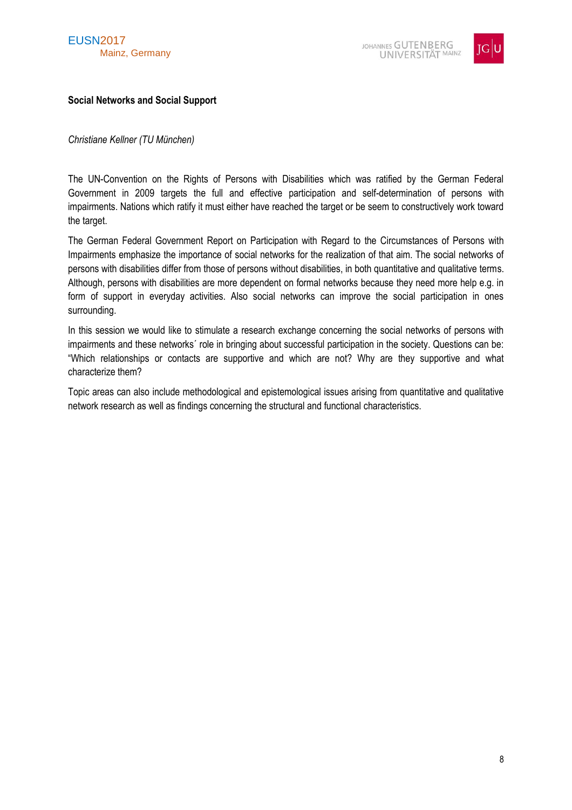

# <span id="page-7-0"></span>**Social Networks and Social Support**

#### *Christiane Kellner (TU München)*

The UN-Convention on the Rights of Persons with Disabilities which was ratified by the German Federal Government in 2009 targets the full and effective participation and self-determination of persons with impairments. Nations which ratify it must either have reached the target or be seem to constructively work toward the target.

The German Federal Government Report on Participation with Regard to the Circumstances of Persons with Impairments emphasize the importance of social networks for the realization of that aim. The social networks of persons with disabilities differ from those of persons without disabilities, in both quantitative and qualitative terms. Although, persons with disabilities are more dependent on formal networks because they need more help e.g. in form of support in everyday activities. Also social networks can improve the social participation in ones surrounding.

In this session we would like to stimulate a research exchange concerning the social networks of persons with impairments and these networks´ role in bringing about successful participation in the society. Questions can be: "Which relationships or contacts are supportive and which are not? Why are they supportive and what characterize them?

Topic areas can also include methodological and epistemological issues arising from quantitative and qualitative network research as well as findings concerning the structural and functional characteristics.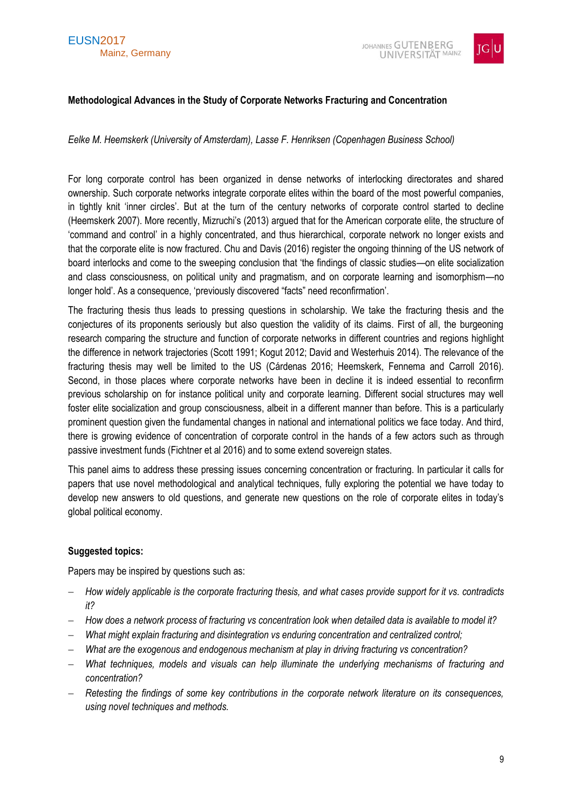

# <span id="page-8-0"></span>**Methodological Advances in the Study of Corporate Networks Fracturing and Concentration**

### *Eelke M. Heemskerk (University of Amsterdam), Lasse F. Henriksen (Copenhagen Business School)*

For long corporate control has been organized in dense networks of interlocking directorates and shared ownership. Such corporate networks integrate corporate elites within the board of the most powerful companies, in tightly knit 'inner circles'. But at the turn of the century networks of corporate control started to decline (Heemskerk 2007). More recently, Mizruchi's (2013) argued that for the American corporate elite, the structure of 'command and control' in a highly concentrated, and thus hierarchical, corporate network no longer exists and that the corporate elite is now fractured. Chu and Davis (2016) register the ongoing thinning of the US network of board interlocks and come to the sweeping conclusion that 'the findings of classic studies—on elite socialization and class consciousness, on political unity and pragmatism, and on corporate learning and isomorphism—no longer hold'. As a consequence, 'previously discovered "facts" need reconfirmation'.

The fracturing thesis thus leads to pressing questions in scholarship. We take the fracturing thesis and the conjectures of its proponents seriously but also question the validity of its claims. First of all, the burgeoning research comparing the structure and function of corporate networks in different countries and regions highlight the difference in network trajectories (Scott 1991; Kogut 2012; David and Westerhuis 2014). The relevance of the fracturing thesis may well be limited to the US (Cárdenas 2016; Heemskerk, Fennema and Carroll 2016). Second, in those places where corporate networks have been in decline it is indeed essential to reconfirm previous scholarship on for instance political unity and corporate learning. Different social structures may well foster elite socialization and group consciousness, albeit in a different manner than before. This is a particularly prominent question given the fundamental changes in national and international politics we face today. And third, there is growing evidence of concentration of corporate control in the hands of a few actors such as through passive investment funds (Fichtner et al 2016) and to some extend sovereign states.

This panel aims to address these pressing issues concerning concentration or fracturing. In particular it calls for papers that use novel methodological and analytical techniques, fully exploring the potential we have today to develop new answers to old questions, and generate new questions on the role of corporate elites in today's global political economy.

#### **Suggested topics:**

Papers may be inspired by questions such as:

- *How widely applicable is the corporate fracturing thesis, and what cases provide support for it vs. contradicts it?*
- *How does a network process of fracturing vs concentration look when detailed data is available to model it?*
- *What might explain fracturing and disintegration vs enduring concentration and centralized control;*
- *What are the exogenous and endogenous mechanism at play in driving fracturing vs concentration?*
- *What techniques, models and visuals can help illuminate the underlying mechanisms of fracturing and concentration?*
- *Retesting the findings of some key contributions in the corporate network literature on its consequences, using novel techniques and methods.*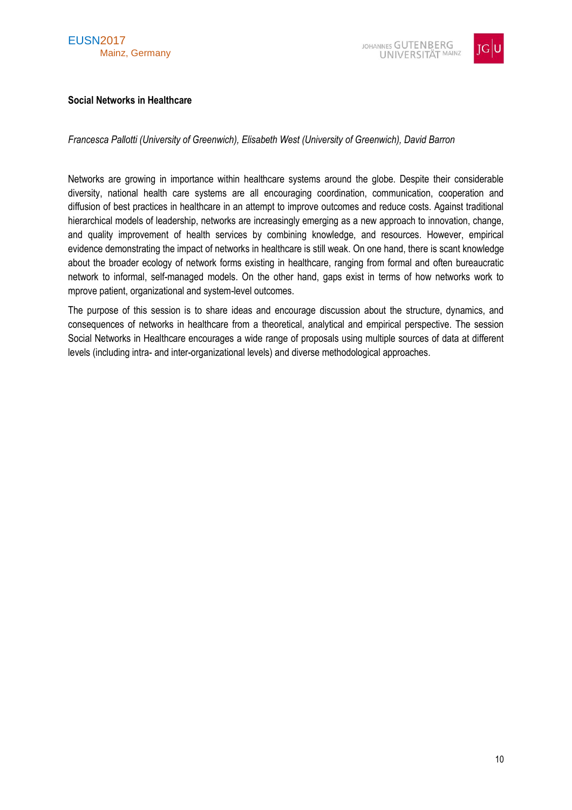

# <span id="page-9-0"></span>**Social Networks in Healthcare**

*Francesca Pallotti (University of Greenwich), Elisabeth West (University of Greenwich), David Barron*

Networks are growing in importance within healthcare systems around the globe. Despite their considerable diversity, national health care systems are all encouraging coordination, communication, cooperation and diffusion of best practices in healthcare in an attempt to improve outcomes and reduce costs. Against traditional hierarchical models of leadership, networks are increasingly emerging as a new approach to innovation, change, and quality improvement of health services by combining knowledge, and resources. However, empirical evidence demonstrating the impact of networks in healthcare is still weak. On one hand, there is scant knowledge about the broader ecology of network forms existing in healthcare, ranging from formal and often bureaucratic network to informal, self-managed models. On the other hand, gaps exist in terms of how networks work to mprove patient, organizational and system-level outcomes.

The purpose of this session is to share ideas and encourage discussion about the structure, dynamics, and consequences of networks in healthcare from a theoretical, analytical and empirical perspective. The session Social Networks in Healthcare encourages a wide range of proposals using multiple sources of data at different levels (including intra- and inter-organizational levels) and diverse methodological approaches.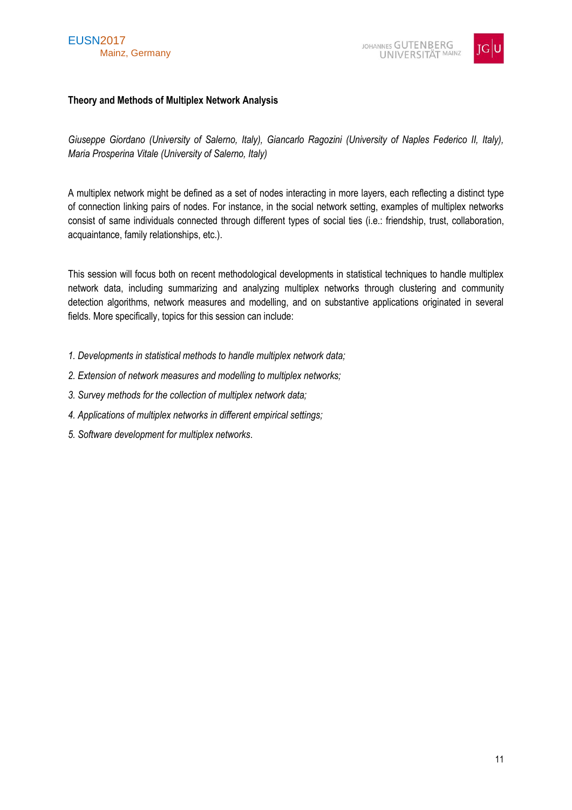



# <span id="page-10-0"></span>**Theory and Methods of Multiplex Network Analysis**

*Giuseppe Giordano (University of Salerno, Italy), Giancarlo Ragozini (University of Naples Federico II, Italy), Maria Prosperina Vitale (University of Salerno, Italy)*

A multiplex network might be defined as a set of nodes interacting in more layers, each reflecting a distinct type of connection linking pairs of nodes. For instance, in the social network setting, examples of multiplex networks consist of same individuals connected through different types of social ties (i.e.: friendship, trust, collaboration, acquaintance, family relationships, etc.).

This session will focus both on recent methodological developments in statistical techniques to handle multiplex network data, including summarizing and analyzing multiplex networks through clustering and community detection algorithms, network measures and modelling, and on substantive applications originated in several fields. More specifically, topics for this session can include:

- *1. Developments in statistical methods to handle multiplex network data;*
- *2. Extension of network measures and modelling to multiplex networks;*
- *3. Survey methods for the collection of multiplex network data;*
- *4. Applications of multiplex networks in different empirical settings;*
- *5. Software development for multiplex networks*.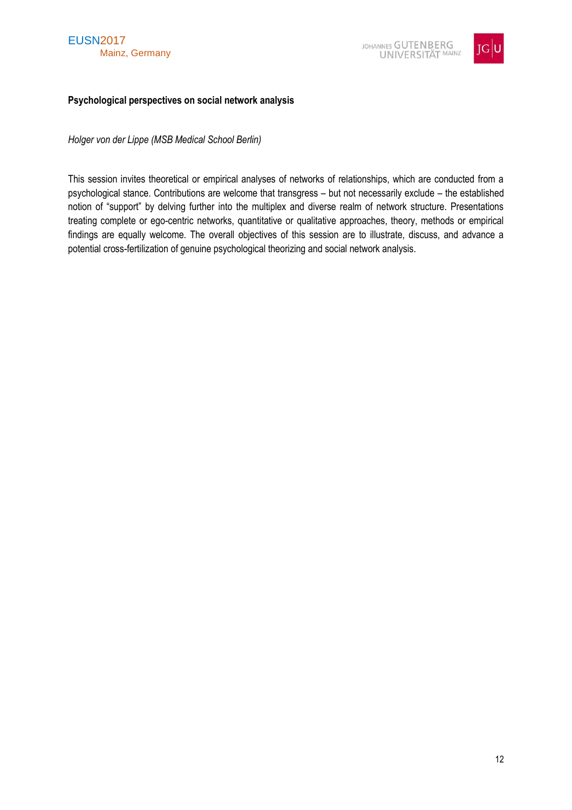



### <span id="page-11-0"></span>**Psychological perspectives on social network analysis**

*Holger von der Lippe (MSB Medical School Berlin)*

This session invites theoretical or empirical analyses of networks of relationships, which are conducted from a psychological stance. Contributions are welcome that transgress – but not necessarily exclude – the established notion of "support" by delving further into the multiplex and diverse realm of network structure. Presentations treating complete or ego-centric networks, quantitative or qualitative approaches, theory, methods or empirical findings are equally welcome. The overall objectives of this session are to illustrate, discuss, and advance a potential cross-fertilization of genuine psychological theorizing and social network analysis.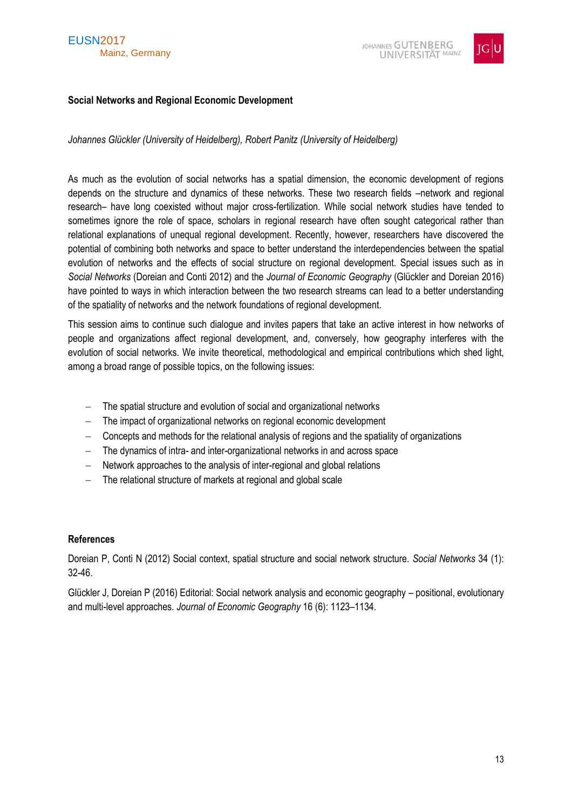

# <span id="page-12-0"></span>**Social Networks and Regional Economic Development**

*Johannes Glückler (University of Heidelberg), Robert Panitz (University of Heidelberg)*

As much as the evolution of social networks has a spatial dimension, the economic development of regions depends on the structure and dynamics of these networks. These two research fields –network and regional research– have long coexisted without major cross-fertilization. While social network studies have tended to sometimes ignore the role of space, scholars in regional research have often sought categorical rather than relational explanations of unequal regional development. Recently, however, researchers have discovered the potential of combining both networks and space to better understand the interdependencies between the spatial evolution of networks and the effects of social structure on regional development. Special issues such as in *Social Networks* (Doreian and Conti 2012) and the *Journal of Economic Geography* (Glückler and Doreian 2016) have pointed to ways in which interaction between the two research streams can lead to a better understanding of the spatiality of networks and the network foundations of regional development.

This session aims to continue such dialogue and invites papers that take an active interest in how networks of people and organizations affect regional development, and, conversely, how geography interferes with the evolution of social networks. We invite theoretical, methodological and empirical contributions which shed light, among a broad range of possible topics, on the following issues:

- The spatial structure and evolution of social and organizational networks
- The impact of organizational networks on regional economic development
- Concepts and methods for the relational analysis of regions and the spatiality of organizations
- The dynamics of intra- and inter-organizational networks in and across space
- Network approaches to the analysis of inter-regional and global relations
- The relational structure of markets at regional and global scale

# **References**

Doreian P, Conti N (2012) Social context, spatial structure and social network structure. *Social Networks* 34 (1): 32-46.

Glückler J, Doreian P (2016) Editorial: Social network analysis and economic geography – positional, evolutionary and multi-level approaches. *Journal of Economic Geography* 16 (6): 1123–1134.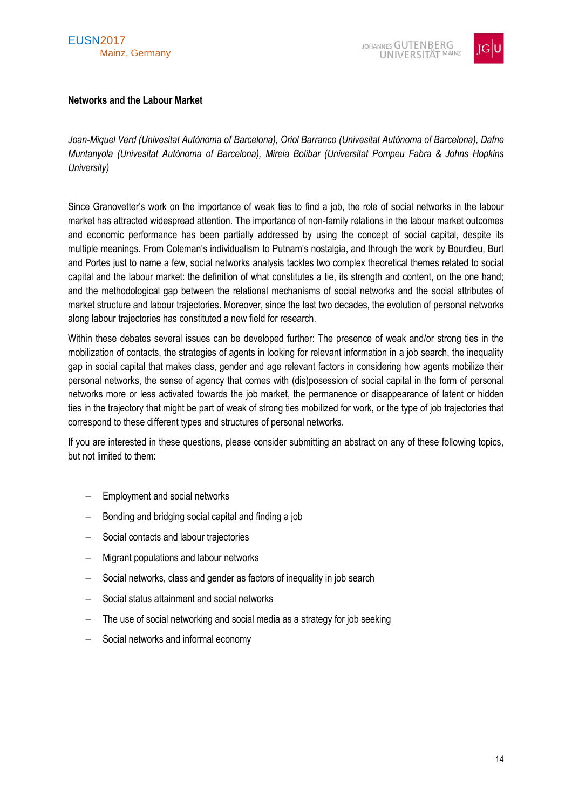



#### <span id="page-13-0"></span>**Networks and the Labour Market**

*Joan-Miquel Verd (Univesitat Autònoma of Barcelona), Oriol Barranco (Univesitat Autònoma of Barcelona), Dafne Muntanyola (Univesitat Autònoma of Barcelona), Mireia Bolibar (Universitat Pompeu Fabra & Johns Hopkins University)*

Since Granovetter's work on the importance of weak ties to find a job, the role of social networks in the labour market has attracted widespread attention. The importance of non-family relations in the labour market outcomes and economic performance has been partially addressed by using the concept of social capital, despite its multiple meanings. From Coleman's individualism to Putnam's nostalgia, and through the work by Bourdieu, Burt and Portes just to name a few, social networks analysis tackles two complex theoretical themes related to social capital and the labour market: the definition of what constitutes a tie, its strength and content, on the one hand; and the methodological gap between the relational mechanisms of social networks and the social attributes of market structure and labour trajectories. Moreover, since the last two decades, the evolution of personal networks along labour trajectories has constituted a new field for research.

Within these debates several issues can be developed further: The presence of weak and/or strong ties in the mobilization of contacts, the strategies of agents in looking for relevant information in a job search, the inequality gap in social capital that makes class, gender and age relevant factors in considering how agents mobilize their personal networks, the sense of agency that comes with (dis)posession of social capital in the form of personal networks more or less activated towards the job market, the permanence or disappearance of latent or hidden ties in the trajectory that might be part of weak of strong ties mobilized for work, or the type of job trajectories that correspond to these different types and structures of personal networks.

If you are interested in these questions, please consider submitting an abstract on any of these following topics, but not limited to them:

- $-$  Employment and social networks
- $-$  Bonding and bridging social capital and finding a job
- Social contacts and labour trajectories
- Migrant populations and labour networks
- Social networks, class and gender as factors of inequality in job search
- Social status attainment and social networks
- $-$  The use of social networking and social media as a strategy for job seeking
- Social networks and informal economy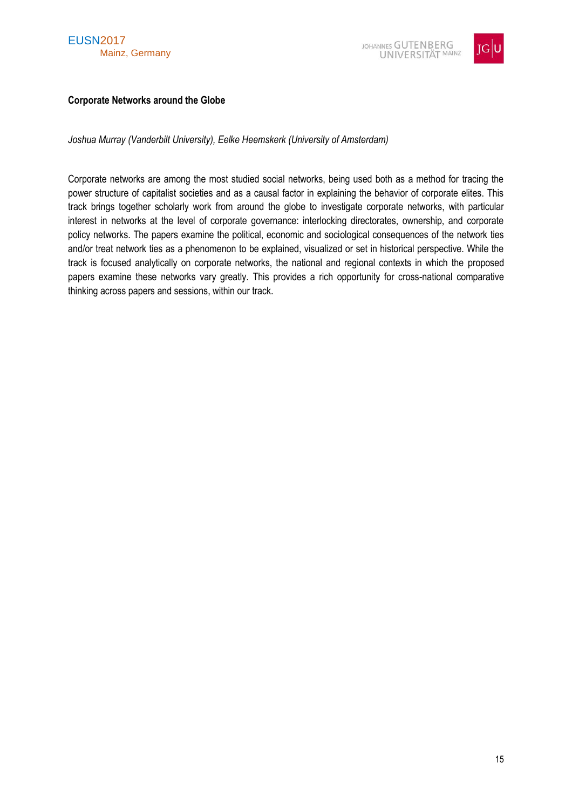



### <span id="page-14-0"></span>**Corporate Networks around the Globe**

*Joshua Murray (Vanderbilt University), Eelke Heemskerk (University of Amsterdam)*

Corporate networks are among the most studied social networks, being used both as a method for tracing the power structure of capitalist societies and as a causal factor in explaining the behavior of corporate elites. This track brings together scholarly work from around the globe to investigate corporate networks, with particular interest in networks at the level of corporate governance: interlocking directorates, ownership, and corporate policy networks. The papers examine the political, economic and sociological consequences of the network ties and/or treat network ties as a phenomenon to be explained, visualized or set in historical perspective. While the track is focused analytically on corporate networks, the national and regional contexts in which the proposed papers examine these networks vary greatly. This provides a rich opportunity for cross-national comparative thinking across papers and sessions, within our track.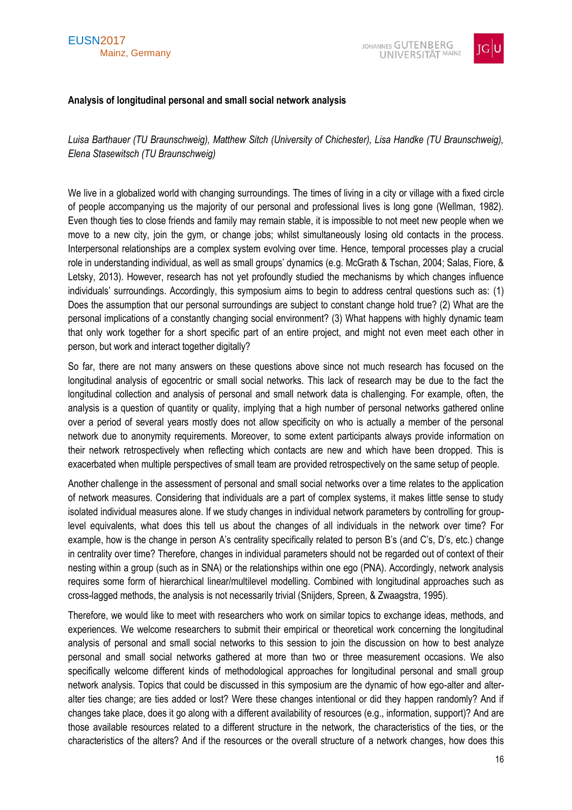



#### <span id="page-15-0"></span>**Analysis of longitudinal personal and small social network analysis**

*Luisa Barthauer (TU Braunschweig), Matthew Sitch (University of Chichester), Lisa Handke (TU Braunschweig), Elena Stasewitsch (TU Braunschweig)* 

We live in a globalized world with changing surroundings. The times of living in a city or village with a fixed circle of people accompanying us the majority of our personal and professional lives is long gone (Wellman, 1982). Even though ties to close friends and family may remain stable, it is impossible to not meet new people when we move to a new city, join the gym, or change jobs; whilst simultaneously losing old contacts in the process. Interpersonal relationships are a complex system evolving over time. Hence, temporal processes play a crucial role in understanding individual, as well as small groups' dynamics (e.g. McGrath & Tschan, 2004; Salas, Fiore, & Letsky, 2013). However, research has not yet profoundly studied the mechanisms by which changes influence individuals' surroundings. Accordingly, this symposium aims to begin to address central questions such as: (1) Does the assumption that our personal surroundings are subject to constant change hold true? (2) What are the personal implications of a constantly changing social environment? (3) What happens with highly dynamic team that only work together for a short specific part of an entire project, and might not even meet each other in person, but work and interact together digitally?

So far, there are not many answers on these questions above since not much research has focused on the longitudinal analysis of egocentric or small social networks. This lack of research may be due to the fact the longitudinal collection and analysis of personal and small network data is challenging. For example, often, the analysis is a question of quantity or quality, implying that a high number of personal networks gathered online over a period of several years mostly does not allow specificity on who is actually a member of the personal network due to anonymity requirements. Moreover, to some extent participants always provide information on their network retrospectively when reflecting which contacts are new and which have been dropped. This is exacerbated when multiple perspectives of small team are provided retrospectively on the same setup of people.

Another challenge in the assessment of personal and small social networks over a time relates to the application of network measures. Considering that individuals are a part of complex systems, it makes little sense to study isolated individual measures alone. If we study changes in individual network parameters by controlling for grouplevel equivalents, what does this tell us about the changes of all individuals in the network over time? For example, how is the change in person A's centrality specifically related to person B's (and C's, D's, etc.) change in centrality over time? Therefore, changes in individual parameters should not be regarded out of context of their nesting within a group (such as in SNA) or the relationships within one ego (PNA). Accordingly, network analysis requires some form of hierarchical linear/multilevel modelling. Combined with longitudinal approaches such as cross-lagged methods, the analysis is not necessarily trivial (Snijders, Spreen, & Zwaagstra, 1995).

Therefore, we would like to meet with researchers who work on similar topics to exchange ideas, methods, and experiences. We welcome researchers to submit their empirical or theoretical work concerning the longitudinal analysis of personal and small social networks to this session to join the discussion on how to best analyze personal and small social networks gathered at more than two or three measurement occasions. We also specifically welcome different kinds of methodological approaches for longitudinal personal and small group network analysis. Topics that could be discussed in this symposium are the dynamic of how ego-alter and alteralter ties change; are ties added or lost? Were these changes intentional or did they happen randomly? And if changes take place, does it go along with a different availability of resources (e.g., information, support)? And are those available resources related to a different structure in the network, the characteristics of the ties, or the characteristics of the alters? And if the resources or the overall structure of a network changes, how does this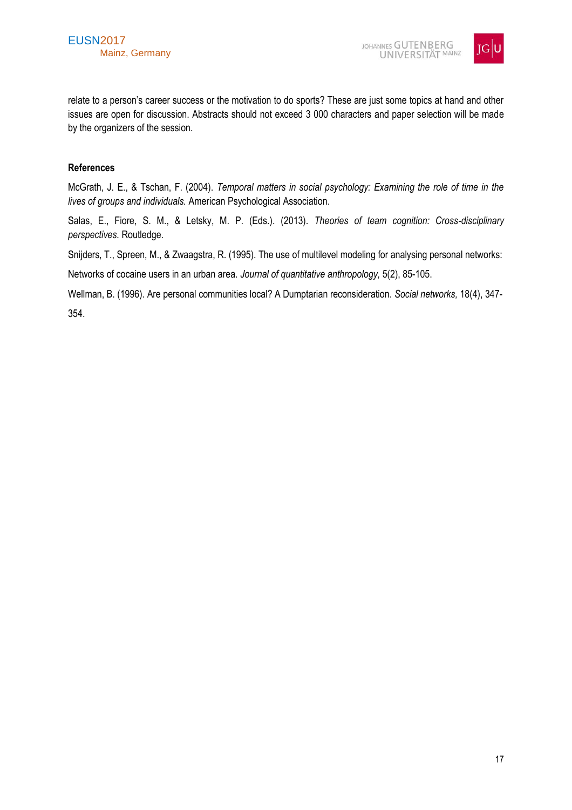

relate to a person's career success or the motivation to do sports? These are just some topics at hand and other issues are open for discussion. Abstracts should not exceed 3 000 characters and paper selection will be made by the organizers of the session.

#### **References**

McGrath, J. E., & Tschan, F. (2004). *Temporal matters in social psychology: Examining the role of time in the lives of groups and individuals.* American Psychological Association.

Salas, E., Fiore, S. M., & Letsky, M. P. (Eds.). (2013). *Theories of team cognition: Cross-disciplinary perspectives.* Routledge.

Snijders, T., Spreen, M., & Zwaagstra, R. (1995). The use of multilevel modeling for analysing personal networks:

Networks of cocaine users in an urban area. *Journal of quantitative anthropology,* 5(2), 85-105.

Wellman, B. (1996). Are personal communities local? A Dumptarian reconsideration. *Social networks,* 18(4), 347- 354.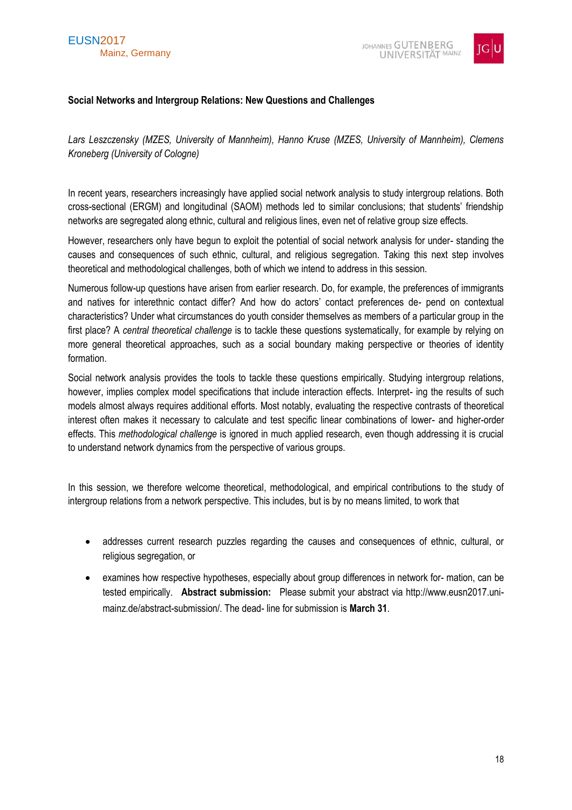

# <span id="page-17-0"></span>**Social Networks and Intergroup Relations: New Questions and Challenges**

*Lars Leszczensky (MZES, University of Mannheim), Hanno Kruse (MZES, University of Mannheim), Clemens Kroneberg (University of Cologne)*

In recent years, researchers increasingly have applied social network analysis to study intergroup relations. Both cross-sectional (ERGM) and longitudinal (SAOM) methods led to similar conclusions; that students' friendship networks are segregated along ethnic, cultural and religious lines, even net of relative group size effects.

However, researchers only have begun to exploit the potential of social network analysis for under- standing the causes and consequences of such ethnic, cultural, and religious segregation. Taking this next step involves theoretical and methodological challenges, both of which we intend to address in this session.

Numerous follow-up questions have arisen from earlier research. Do, for example, the preferences of immigrants and natives for interethnic contact differ? And how do actors' contact preferences de- pend on contextual characteristics? Under what circumstances do youth consider themselves as members of a particular group in the first place? A *central theoretical challenge* is to tackle these questions systematically, for example by relying on more general theoretical approaches, such as a social boundary making perspective or theories of identity formation.

Social network analysis provides the tools to tackle these questions empirically. Studying intergroup relations, however, implies complex model specifications that include interaction effects. Interpret- ing the results of such models almost always requires additional efforts. Most notably, evaluating the respective contrasts of theoretical interest often makes it necessary to calculate and test specific linear combinations of lower- and higher-order effects. This *methodological challenge* is ignored in much applied research, even though addressing it is crucial to understand network dynamics from the perspective of various groups.

In this session, we therefore welcome theoretical, methodological, and empirical contributions to the study of intergroup relations from a network perspective. This includes, but is by no means limited, to work that

- addresses current research puzzles regarding the causes and consequences of ethnic, cultural, or religious segregation, or
- examines how respective hypotheses, especially about group differences in network for- mation, can be tested empirically. **Abstract submission:** Please submit your abstract via http://www.eusn2017.unimainz.de/abstract-submission/. The dead- line for submission is **March 31**.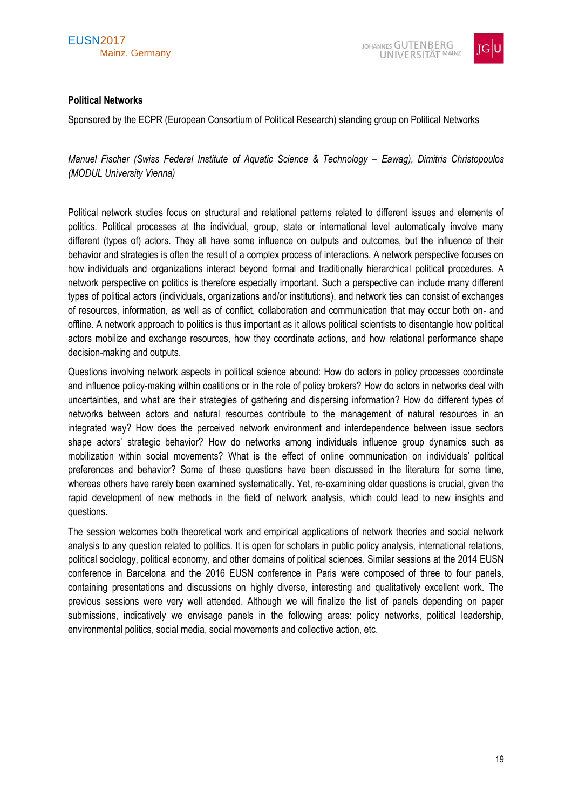



#### <span id="page-18-0"></span>**Political Networks**

Sponsored by the ECPR (European Consortium of Political Research) standing group on Political Networks

*Manuel Fischer (Swiss Federal Institute of Aquatic Science & Technology – Eawag), Dimitris Christopoulos (MODUL University Vienna)* 

Political network studies focus on structural and relational patterns related to different issues and elements of politics. Political processes at the individual, group, state or international level automatically involve many different (types of) actors. They all have some influence on outputs and outcomes, but the influence of their behavior and strategies is often the result of a complex process of interactions. A network perspective focuses on how individuals and organizations interact beyond formal and traditionally hierarchical political procedures. A network perspective on politics is therefore especially important. Such a perspective can include many different types of political actors (individuals, organizations and/or institutions), and network ties can consist of exchanges of resources, information, as well as of conflict, collaboration and communication that may occur both on- and offline. A network approach to politics is thus important as it allows political scientists to disentangle how political actors mobilize and exchange resources, how they coordinate actions, and how relational performance shape decision-making and outputs.

Questions involving network aspects in political science abound: How do actors in policy processes coordinate and influence policy-making within coalitions or in the role of policy brokers? How do actors in networks deal with uncertainties, and what are their strategies of gathering and dispersing information? How do different types of networks between actors and natural resources contribute to the management of natural resources in an integrated way? How does the perceived network environment and interdependence between issue sectors shape actors' strategic behavior? How do networks among individuals influence group dynamics such as mobilization within social movements? What is the effect of online communication on individuals' political preferences and behavior? Some of these questions have been discussed in the literature for some time, whereas others have rarely been examined systematically. Yet, re-examining older questions is crucial, given the rapid development of new methods in the field of network analysis, which could lead to new insights and questions.

The session welcomes both theoretical work and empirical applications of network theories and social network analysis to any question related to politics. It is open for scholars in public policy analysis, international relations, political sociology, political economy, and other domains of political sciences. Similar sessions at the 2014 EUSN conference in Barcelona and the 2016 EUSN conference in Paris were composed of three to four panels, containing presentations and discussions on highly diverse, interesting and qualitatively excellent work. The previous sessions were very well attended. Although we will finalize the list of panels depending on paper submissions, indicatively we envisage panels in the following areas: policy networks, political leadership, environmental politics, social media, social movements and collective action, etc.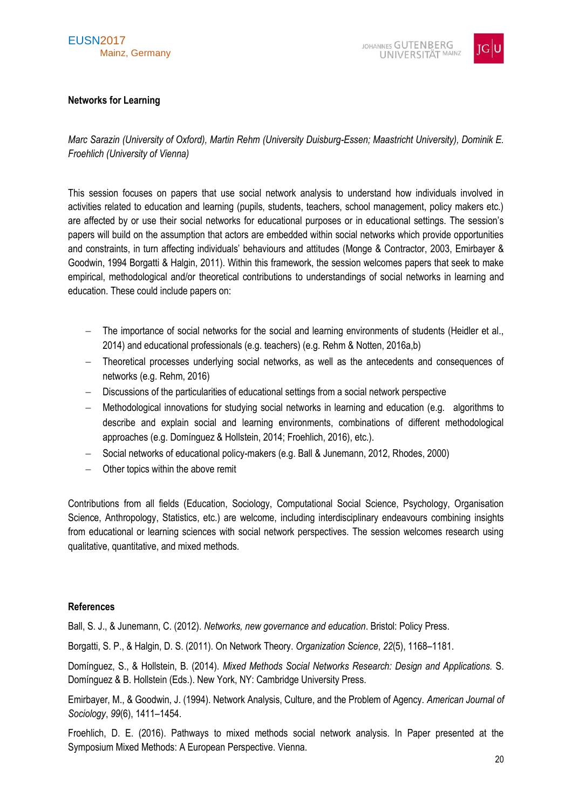# EUSN2017 Mainz, Germany



# <span id="page-19-0"></span>**Networks for Learning**

*Marc Sarazin (University of Oxford), Martin Rehm (University Duisburg-Essen; Maastricht University), Dominik E. Froehlich (University of Vienna)*

This session focuses on papers that use social network analysis to understand how individuals involved in activities related to education and learning (pupils, students, teachers, school management, policy makers etc.) are affected by or use their social networks for educational purposes or in educational settings. The session's papers will build on the assumption that actors are embedded within social networks which provide opportunities and constraints, in turn affecting individuals' behaviours and attitudes (Monge & Contractor, 2003, Emirbayer & Goodwin, 1994 Borgatti & Halgin, 2011). Within this framework, the session welcomes papers that seek to make empirical, methodological and/or theoretical contributions to understandings of social networks in learning and education. These could include papers on:

- The importance of social networks for the social and learning environments of students (Heidler et al., 2014) and educational professionals (e.g. teachers) (e.g. Rehm & Notten, 2016a,b)
- Theoretical processes underlying social networks, as well as the antecedents and consequences of networks (e.g. Rehm, 2016)
- Discussions of the particularities of educational settings from a social network perspective
- Methodological innovations for studying social networks in learning and education (e.g. algorithms to describe and explain social and learning environments, combinations of different methodological approaches (e.g. Domínguez & Hollstein, 2014; Froehlich, 2016), etc.).
- Social networks of educational policy-makers (e.g. Ball & Junemann, 2012, Rhodes, 2000)
- Other topics within the above remit

Contributions from all fields (Education, Sociology, Computational Social Science, Psychology, Organisation Science, Anthropology, Statistics, etc.) are welcome, including interdisciplinary endeavours combining insights from educational or learning sciences with social network perspectives. The session welcomes research using qualitative, quantitative, and mixed methods.

# **References**

Ball, S. J., & Junemann, C. (2012). *Networks, new governance and education*. Bristol: Policy Press.

Borgatti, S. P., & Halgin, D. S. (2011). On Network Theory. *Organization Science*, *22*(5), 1168–1181.

Domínguez, S., & Hollstein, B. (2014). *Mixed Methods Social Networks Research: Design and Applications.* S. Domínguez & B. Hollstein (Eds.). New York, NY: Cambridge University Press.

Emirbayer, M., & Goodwin, J. (1994). Network Analysis, Culture, and the Problem of Agency. *American Journal of Sociology*, *99*(6), 1411–1454.

Froehlich, D. E. (2016). Pathways to mixed methods social network analysis. In Paper presented at the Symposium Mixed Methods: A European Perspective. Vienna.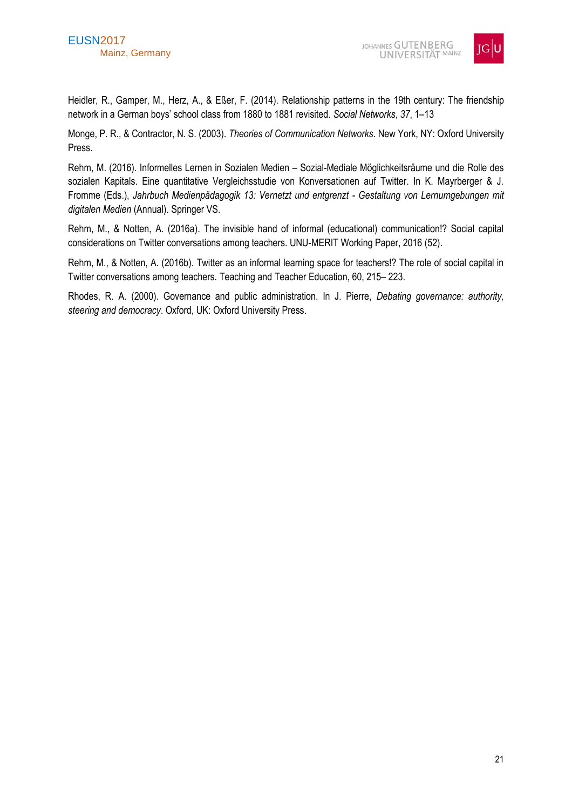

Heidler, R., Gamper, M., Herz, A., & Eßer, F. (2014). Relationship patterns in the 19th century: The friendship network in a German boys' school class from 1880 to 1881 revisited. *Social Networks*, *37*, 1–13

Monge, P. R., & Contractor, N. S. (2003). *Theories of Communication Networks*. New York, NY: Oxford University Press.

Rehm, M. (2016). Informelles Lernen in Sozialen Medien – Sozial-Mediale Möglichkeitsräume und die Rolle des sozialen Kapitals. Eine quantitative Vergleichsstudie von Konversationen auf Twitter. In K. Mayrberger & J. Fromme (Eds.), *Jahrbuch Medienpädagogik 13: Vernetzt und entgrenzt - Gestaltung von Lernumgebungen mit digitalen Medien* (Annual). Springer VS.

Rehm, M., & Notten, A. (2016a). The invisible hand of informal (educational) communication!? Social capital considerations on Twitter conversations among teachers. UNU-MERIT Working Paper, 2016 (52).

Rehm, M., & Notten, A. (2016b). Twitter as an informal learning space for teachers!? The role of social capital in Twitter conversations among teachers. Teaching and Teacher Education, 60, 215– 223.

Rhodes, R. A. (2000). Governance and public administration. In J. Pierre, *Debating governance: authority, steering and democracy*. Oxford, UK: Oxford University Press.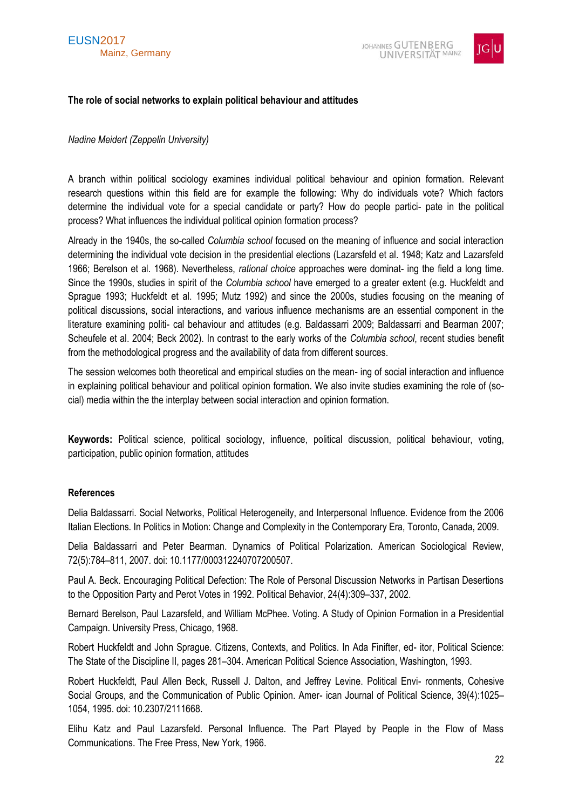



#### <span id="page-21-0"></span>**The role of social networks to explain political behaviour and attitudes**

#### *Nadine Meidert (Zeppelin University)*

A branch within political sociology examines individual political behaviour and opinion formation. Relevant research questions within this field are for example the following: Why do individuals vote? Which factors determine the individual vote for a special candidate or party? How do people partici- pate in the political process? What influences the individual political opinion formation process?

Already in the 1940s, the so-called *Columbia school* focused on the meaning of influence and social interaction determining the individual vote decision in the presidential elections (Lazarsfeld et al. 1948; Katz and Lazarsfeld 1966; Berelson et al. 1968). Nevertheless, *rational choice* approaches were dominat- ing the field a long time. Since the 1990s, studies in spirit of the *Columbia school* have emerged to a greater extent (e.g. Huckfeldt and Sprague 1993; Huckfeldt et al. 1995; Mutz 1992) and since the 2000s, studies focusing on the meaning of political discussions, social interactions, and various influence mechanisms are an essential component in the literature examining politi- cal behaviour and attitudes (e.g. Baldassarri 2009; Baldassarri and Bearman 2007; Scheufele et al. 2004; Beck 2002). In contrast to the early works of the *Columbia school*, recent studies benefit from the methodological progress and the availability of data from different sources.

The session welcomes both theoretical and empirical studies on the mean- ing of social interaction and influence in explaining political behaviour and political opinion formation. We also invite studies examining the role of (social) media within the the interplay between social interaction and opinion formation.

**Keywords:** Political science, political sociology, influence, political discussion, political behaviour, voting, participation, public opinion formation, attitudes

#### **References**

Delia Baldassarri. Social Networks, Political Heterogeneity, and Interpersonal Influence. Evidence from the 2006 Italian Elections. In Politics in Motion: Change and Complexity in the Contemporary Era, Toronto, Canada, 2009.

Delia Baldassarri and Peter Bearman. Dynamics of Political Polarization. American Sociological Review, 72(5):784–811, 2007. doi: 10.1177/000312240707200507.

Paul A. Beck. Encouraging Political Defection: The Role of Personal Discussion Networks in Partisan Desertions to the Opposition Party and Perot Votes in 1992. Political Behavior, 24(4):309–337, 2002.

Bernard Berelson, Paul Lazarsfeld, and William McPhee. Voting. A Study of Opinion Formation in a Presidential Campaign. University Press, Chicago, 1968.

Robert Huckfeldt and John Sprague. Citizens, Contexts, and Politics. In Ada Finifter, ed- itor, Political Science: The State of the Discipline II, pages 281–304. American Political Science Association, Washington, 1993.

Robert Huckfeldt, Paul Allen Beck, Russell J. Dalton, and Jeffrey Levine. Political Envi- ronments, Cohesive Social Groups, and the Communication of Public Opinion. Amer- ican Journal of Political Science, 39(4):1025– 1054, 1995. doi: 10.2307/2111668.

Elihu Katz and Paul Lazarsfeld. Personal Influence. The Part Played by People in the Flow of Mass Communications. The Free Press, New York, 1966.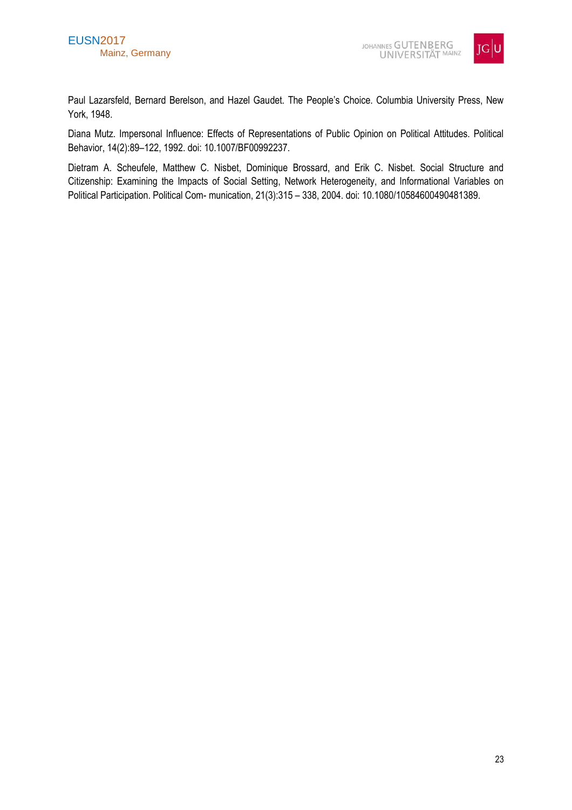

Paul Lazarsfeld, Bernard Berelson, and Hazel Gaudet. The People's Choice. Columbia University Press, New York, 1948.

Diana Mutz. Impersonal Influence: Effects of Representations of Public Opinion on Political Attitudes. Political Behavior, 14(2):89–122, 1992. doi: 10.1007/BF00992237.

Dietram A. Scheufele, Matthew C. Nisbet, Dominique Brossard, and Erik C. Nisbet. Social Structure and Citizenship: Examining the Impacts of Social Setting, Network Heterogeneity, and Informational Variables on Political Participation. Political Com- munication, 21(3):315 – 338, 2004. doi: 10.1080/10584600490481389.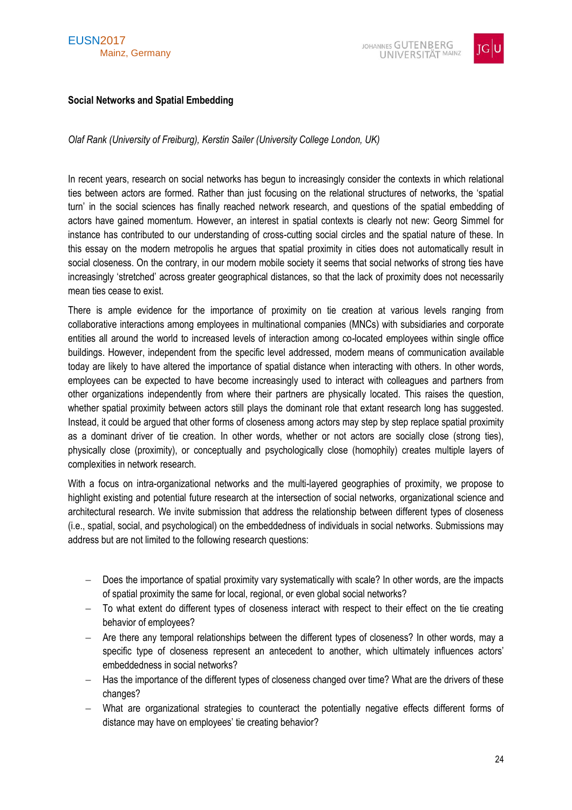

# <span id="page-23-0"></span>**Social Networks and Spatial Embedding**

*Olaf Rank (University of Freiburg), Kerstin Sailer (University College London, UK)*

In recent years, research on social networks has begun to increasingly consider the contexts in which relational ties between actors are formed. Rather than just focusing on the relational structures of networks, the 'spatial turn' in the social sciences has finally reached network research, and questions of the spatial embedding of actors have gained momentum. However, an interest in spatial contexts is clearly not new: Georg Simmel for instance has contributed to our understanding of cross-cutting social circles and the spatial nature of these. In this essay on the modern metropolis he argues that spatial proximity in cities does not automatically result in social closeness. On the contrary, in our modern mobile society it seems that social networks of strong ties have increasingly 'stretched' across greater geographical distances, so that the lack of proximity does not necessarily mean ties cease to exist.

There is ample evidence for the importance of proximity on tie creation at various levels ranging from collaborative interactions among employees in multinational companies (MNCs) with subsidiaries and corporate entities all around the world to increased levels of interaction among co-located employees within single office buildings. However, independent from the specific level addressed, modern means of communication available today are likely to have altered the importance of spatial distance when interacting with others. In other words, employees can be expected to have become increasingly used to interact with colleagues and partners from other organizations independently from where their partners are physically located. This raises the question, whether spatial proximity between actors still plays the dominant role that extant research long has suggested. Instead, it could be argued that other forms of closeness among actors may step by step replace spatial proximity as a dominant driver of tie creation. In other words, whether or not actors are socially close (strong ties), physically close (proximity), or conceptually and psychologically close (homophily) creates multiple layers of complexities in network research.

With a focus on intra-organizational networks and the multi-layered geographies of proximity, we propose to highlight existing and potential future research at the intersection of social networks, organizational science and architectural research. We invite submission that address the relationship between different types of closeness (i.e., spatial, social, and psychological) on the embeddedness of individuals in social networks. Submissions may address but are not limited to the following research questions:

- Does the importance of spatial proximity vary systematically with scale? In other words, are the impacts of spatial proximity the same for local, regional, or even global social networks?
- To what extent do different types of closeness interact with respect to their effect on the tie creating behavior of employees?
- Are there any temporal relationships between the different types of closeness? In other words, may a specific type of closeness represent an antecedent to another, which ultimately influences actors' embeddedness in social networks?
- $-$  Has the importance of the different types of closeness changed over time? What are the drivers of these changes?
- What are organizational strategies to counteract the potentially negative effects different forms of distance may have on employees' tie creating behavior?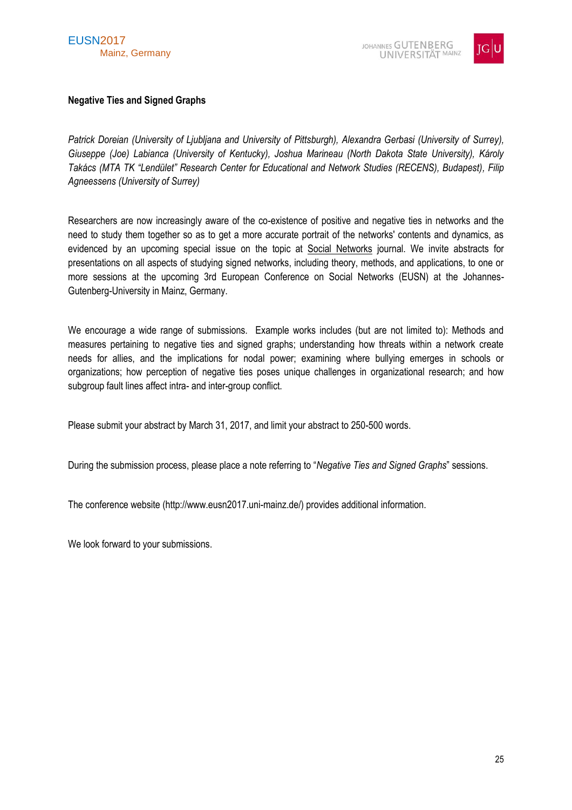

# <span id="page-24-0"></span>**Negative Ties and Signed Graphs**

*Patrick Doreian (University of Ljubljana and University of Pittsburgh), Alexandra Gerbasi (University of Surrey), Giuseppe (Joe) Labianca (University of Kentucky), Joshua Marineau (North Dakota State University), Károly Takács (MTA TK "Lendület" Research Center for Educational and Network Studies (RECENS), Budapest), Filip Agneessens (University of Surrey)*

Researchers are now increasingly aware of the co-existence of positive and negative ties in networks and the need to study them together so as to get a more accurate portrait of the networks' contents and dynamics, as evidenced by an upcoming special issue on the topic at Social Networks journal. We invite abstracts for presentations on all aspects of studying signed networks, including theory, methods, and applications, to one or more sessions at the upcoming 3rd European Conference on Social Networks (EUSN) at the Johannes-Gutenberg-University in Mainz, Germany.

We encourage a wide range of submissions. Example works includes (but are not limited to): Methods and measures pertaining to negative ties and signed graphs; understanding how threats within a network create needs for allies, and the implications for nodal power; examining where bullying emerges in schools or organizations; how perception of negative ties poses unique challenges in organizational research; and how subgroup fault lines affect intra- and inter-group conflict.

Please submit your abstract by March 31, 2017, and limit your abstract to 250-500 words.

During the submission process, please place a note referring to "*Negative Ties and Signed Graphs*" sessions.

The conference website (http://www.eusn2017.uni-mainz.de/) provides additional information.

We look forward to your submissions.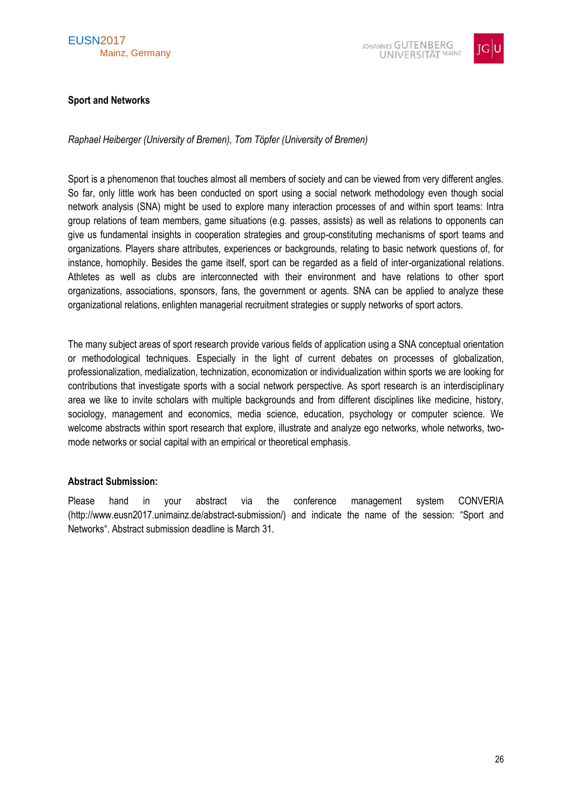

# <span id="page-25-0"></span>**Sport and Networks**

*Raphael Heiberger (University of Bremen), Tom Töpfer (University of Bremen)*

Sport is a phenomenon that touches almost all members of society and can be viewed from very different angles. So far, only little work has been conducted on sport using a social network methodology even though social network analysis (SNA) might be used to explore many interaction processes of and within sport teams: Intra group relations of team members, game situations (e.g. passes, assists) as well as relations to opponents can give us fundamental insights in cooperation strategies and group-constituting mechanisms of sport teams and organizations. Players share attributes, experiences or backgrounds, relating to basic network questions of, for instance, homophily. Besides the game itself, sport can be regarded as a field of inter-organizational relations. Athletes as well as clubs are interconnected with their environment and have relations to other sport organizations, associations, sponsors, fans, the government or agents. SNA can be applied to analyze these organizational relations, enlighten managerial recruitment strategies or supply networks of sport actors.

The many subject areas of sport research provide various fields of application using a SNA conceptual orientation or methodological techniques. Especially in the light of current debates on processes of globalization, professionalization, medialization, technization, economization or individualization within sports we are looking for contributions that investigate sports with a social network perspective. As sport research is an interdisciplinary area we like to invite scholars with multiple backgrounds and from different disciplines like medicine, history, sociology, management and economics, media science, education, psychology or computer science. We welcome abstracts within sport research that explore, illustrate and analyze ego networks, whole networks, twomode networks or social capital with an empirical or theoretical emphasis.

# **Abstract Submission:**

Please hand in your abstract via the conference management system CONVERIA (http://www.eusn2017.unimainz.de/abstract-submission/) and indicate the name of the session: "Sport and Networks". Abstract submission deadline is March 31.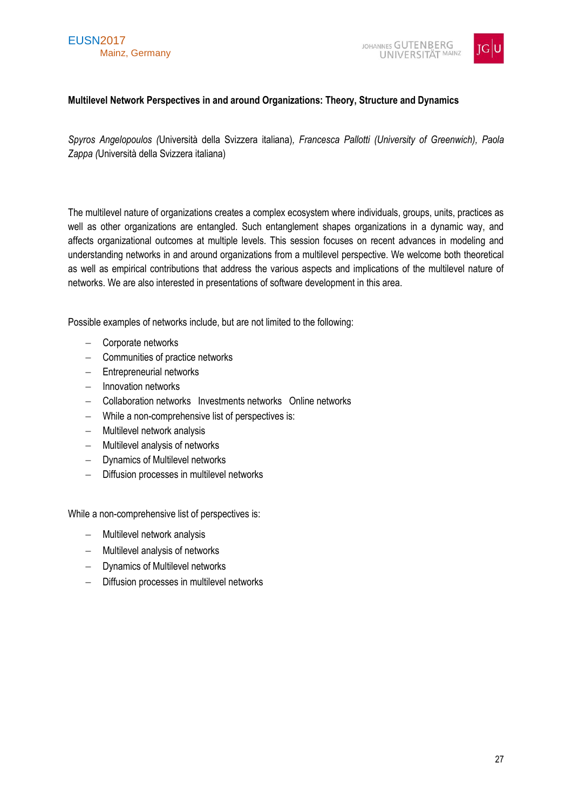# EUSN2017 Mainz, Germany



# <span id="page-26-0"></span>**Multilevel Network Perspectives in and around Organizations: Theory, Structure and Dynamics**

*Spyros Angelopoulos (*Università della Svizzera italiana)*, Francesca Pallotti (University of Greenwich), Paola Zappa (*Università della Svizzera italiana)

The multilevel nature of organizations creates a complex ecosystem where individuals, groups, units, practices as well as other organizations are entangled. Such entanglement shapes organizations in a dynamic way, and affects organizational outcomes at multiple levels. This session focuses on recent advances in modeling and understanding networks in and around organizations from a multilevel perspective. We welcome both theoretical as well as empirical contributions that address the various aspects and implications of the multilevel nature of networks. We are also interested in presentations of software development in this area.

Possible examples of networks include, but are not limited to the following:

- Corporate networks
- Communities of practice networks
- Entrepreneurial networks
- $-$  Innovation networks
- Collaboration networks Investments networks Online networks
- While a non-comprehensive list of perspectives is:
- Multilevel network analysis
- Multilevel analysis of networks
- Dynamics of Multilevel networks
- Diffusion processes in multilevel networks

While a non-comprehensive list of perspectives is:

- Multilevel network analysis
- Multilevel analysis of networks
- Dynamics of Multilevel networks
- Diffusion processes in multilevel networks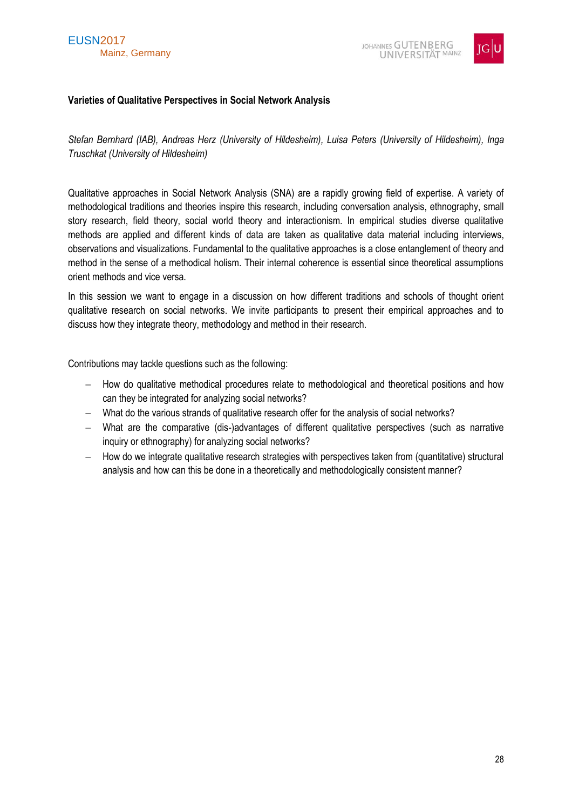



# <span id="page-27-0"></span>**Varieties of Qualitative Perspectives in Social Network Analysis**

*Stefan Bernhard (IAB), Andreas Herz (University of Hildesheim), Luisa Peters (University of Hildesheim), Inga Truschkat (University of Hildesheim)*

Qualitative approaches in Social Network Analysis (SNA) are a rapidly growing field of expertise. A variety of methodological traditions and theories inspire this research, including conversation analysis, ethnography, small story research, field theory, social world theory and interactionism. In empirical studies diverse qualitative methods are applied and different kinds of data are taken as qualitative data material including interviews, observations and visualizations. Fundamental to the qualitative approaches is a close entanglement of theory and method in the sense of a methodical holism. Their internal coherence is essential since theoretical assumptions orient methods and vice versa.

In this session we want to engage in a discussion on how different traditions and schools of thought orient qualitative research on social networks. We invite participants to present their empirical approaches and to discuss how they integrate theory, methodology and method in their research.

Contributions may tackle questions such as the following:

- How do qualitative methodical procedures relate to methodological and theoretical positions and how can they be integrated for analyzing social networks?
- What do the various strands of qualitative research offer for the analysis of social networks?
- What are the comparative (dis-)advantages of different qualitative perspectives (such as narrative inquiry or ethnography) for analyzing social networks?
- $-$  How do we integrate qualitative research strategies with perspectives taken from (quantitative) structural analysis and how can this be done in a theoretically and methodologically consistent manner?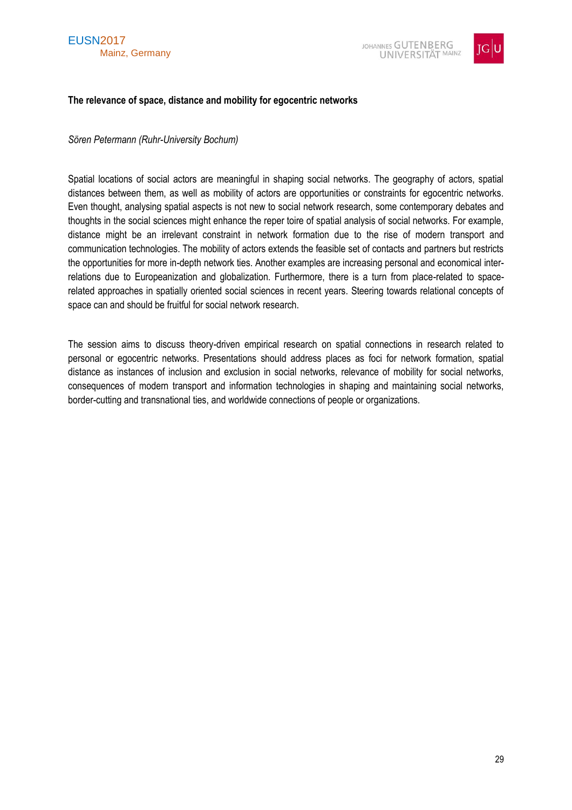



#### <span id="page-28-0"></span>**The relevance of space, distance and mobility for egocentric networks**

#### *Sören Petermann (Ruhr-University Bochum)*

Spatial locations of social actors are meaningful in shaping social networks. The geography of actors, spatial distances between them, as well as mobility of actors are opportunities or constraints for egocentric networks. Even thought, analysing spatial aspects is not new to social network research, some contemporary debates and thoughts in the social sciences might enhance the reper toire of spatial analysis of social networks. For example, distance might be an irrelevant constraint in network formation due to the rise of modern transport and communication technologies. The mobility of actors extends the feasible set of contacts and partners but restricts the opportunities for more in-depth network ties. Another examples are increasing personal and economical interrelations due to Europeanization and globalization. Furthermore, there is a turn from place-related to spacerelated approaches in spatially oriented social sciences in recent years. Steering towards relational concepts of space can and should be fruitful for social network research.

The session aims to discuss theory-driven empirical research on spatial connections in research related to personal or egocentric networks. Presentations should address places as foci for network formation, spatial distance as instances of inclusion and exclusion in social networks, relevance of mobility for social networks, consequences of modern transport and information technologies in shaping and maintaining social networks, border-cutting and transnational ties, and worldwide connections of people or organizations.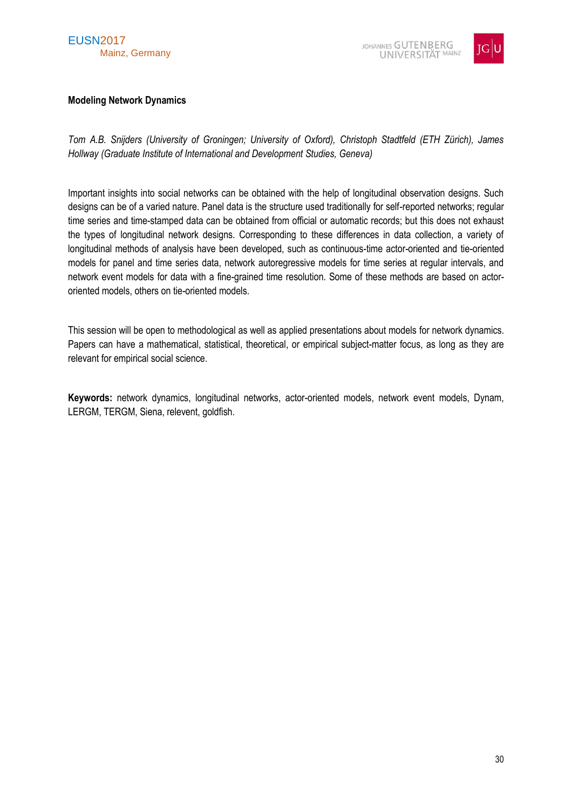# EUSN2017 Mainz, Germany



# <span id="page-29-0"></span>**Modeling Network Dynamics**

*Tom A.B. Snijders (University of Groningen; University of Oxford), Christoph Stadtfeld (ETH Zürich), James Hollway (Graduate Institute of International and Development Studies, Geneva)*

Important insights into social networks can be obtained with the help of longitudinal observation designs. Such designs can be of a varied nature. Panel data is the structure used traditionally for self-reported networks; regular time series and time-stamped data can be obtained from official or automatic records; but this does not exhaust the types of longitudinal network designs. Corresponding to these differences in data collection, a variety of longitudinal methods of analysis have been developed, such as continuous-time actor-oriented and tie-oriented models for panel and time series data, network autoregressive models for time series at regular intervals, and network event models for data with a fine-grained time resolution. Some of these methods are based on actororiented models, others on tie-oriented models.

This session will be open to methodological as well as applied presentations about models for network dynamics. Papers can have a mathematical, statistical, theoretical, or empirical subject-matter focus, as long as they are relevant for empirical social science.

**Keywords:** network dynamics, longitudinal networks, actor-oriented models, network event models, Dynam, LERGM, TERGM, Siena, relevent, goldfish.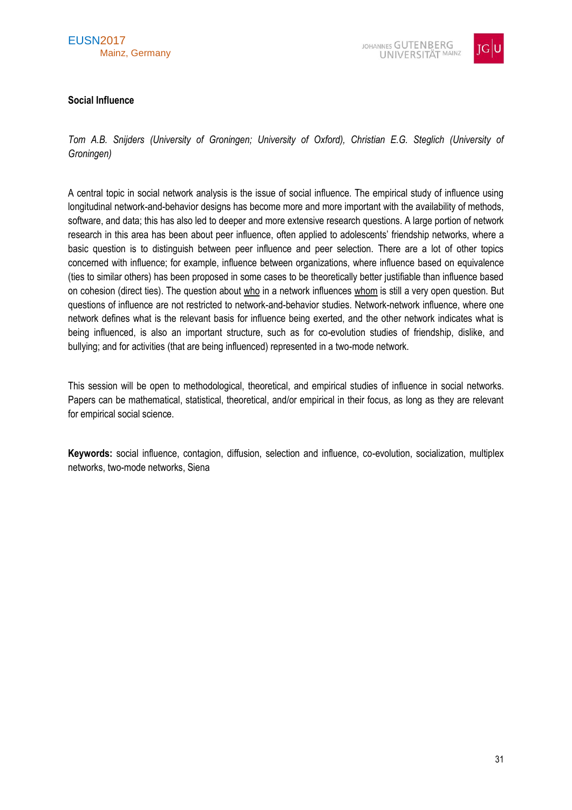

# <span id="page-30-0"></span>**Social Influence**

*Tom A.B. Snijders (University of Groningen; University of Oxford), Christian E.G. Steglich (University of Groningen)*

A central topic in social network analysis is the issue of social influence. The empirical study of influence using longitudinal network-and-behavior designs has become more and more important with the availability of methods, software, and data; this has also led to deeper and more extensive research questions. A large portion of network research in this area has been about peer influence, often applied to adolescents' friendship networks, where a basic question is to distinguish between peer influence and peer selection. There are a lot of other topics concerned with influence; for example, influence between organizations, where influence based on equivalence (ties to similar others) has been proposed in some cases to be theoretically better justifiable than influence based on cohesion (direct ties). The question about who in a network influences whom is still a very open question. But questions of influence are not restricted to network-and-behavior studies. Network-network influence, where one network defines what is the relevant basis for influence being exerted, and the other network indicates what is being influenced, is also an important structure, such as for co-evolution studies of friendship, dislike, and bullying; and for activities (that are being influenced) represented in a two-mode network.

This session will be open to methodological, theoretical, and empirical studies of influence in social networks. Papers can be mathematical, statistical, theoretical, and/or empirical in their focus, as long as they are relevant for empirical social science.

**Keywords:** social influence, contagion, diffusion, selection and influence, co-evolution, socialization, multiplex networks, two-mode networks, Siena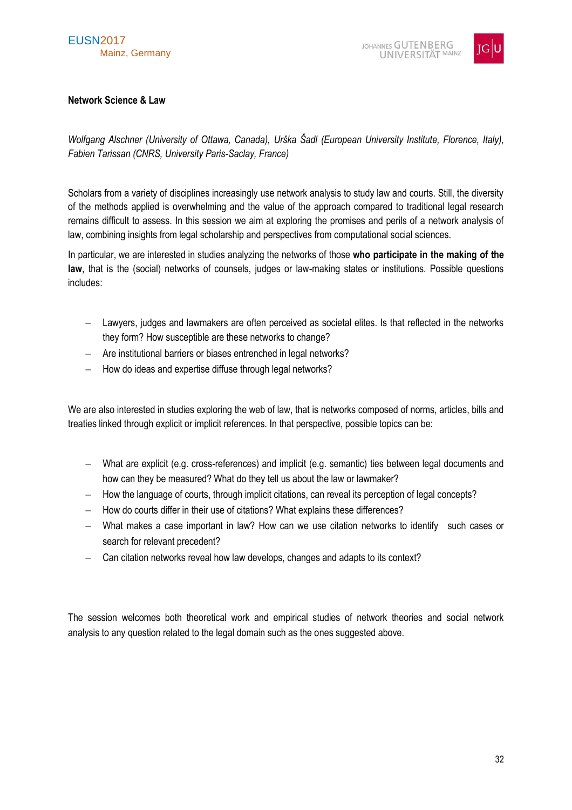

# <span id="page-31-0"></span>**Network Science & Law**

*Wolfgang Alschner (University of Ottawa, Canada), Urška Šadl (European University Institute, Florence, Italy), Fabien Tarissan (CNRS, University Paris-Saclay, France)*

Scholars from a variety of disciplines increasingly use network analysis to study law and courts. Still, the diversity of the methods applied is overwhelming and the value of the approach compared to traditional legal research remains difficult to assess. In this session we aim at exploring the promises and perils of a network analysis of law, combining insights from legal scholarship and perspectives from computational social sciences.

In particular, we are interested in studies analyzing the networks of those **who participate in the making of the law**, that is the (social) networks of counsels, judges or law-making states or institutions. Possible questions includes:

- Lawyers, judges and lawmakers are often perceived as societal elites. Is that reflected in the networks they form? How susceptible are these networks to change?
- Are institutional barriers or biases entrenched in legal networks?
- $-$  How do ideas and expertise diffuse through legal networks?

We are also interested in studies exploring the web of law, that is networks composed of norms, articles, bills and treaties linked through explicit or implicit references. In that perspective, possible topics can be:

- What are explicit (e.g. cross-references) and implicit (e.g. semantic) ties between legal documents and how can they be measured? What do they tell us about the law or lawmaker?
- $-$  How the language of courts, through implicit citations, can reveal its perception of legal concepts?
- How do courts differ in their use of citations? What explains these differences?
- What makes a case important in law? How can we use citation networks to identify such cases or search for relevant precedent?
- Can citation networks reveal how law develops, changes and adapts to its context?

The session welcomes both theoretical work and empirical studies of network theories and social network analysis to any question related to the legal domain such as the ones suggested above.